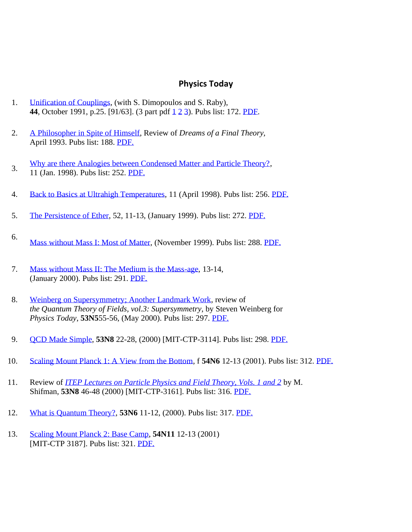## **Physics Today**

- 1. [Unification of Couplings,](https://physicstoday.scitation.org/doi/pdf/10.1063/1.881292) (with S. Dimopoulos and S. Raby), **44**, October 1991, p.25. [91/63]. (3 part pdf [1](http://ctpweb.lns.mit.edu/physics_today/phystoday/Unification_of_Couplings.pdf) [2](http://ctpweb.lns.mit.edu/physics_today/phystoday/Unification_of_Couplings2.pdf) [3\)](http://ctpweb.lns.mit.edu/physics_today/phystoday/Unification_of_Couplings3.pdf). Pubs list: 172. [PDF.](https://drive.google.com/file/d/1im_QXTKjuEZu-qCyMHi1ITQFLvrR3L0F/view?usp=sharing)
- 2. [A Philosopher in Spite of Himself,](http://ctpweb.lns.mit.edu/physics_today/phystoday/Weinberg_A.pdf) Review of *Dreams of a Final Theory,* April 1993. Pubs list: 188. [PDF.](https://drive.google.com/file/d/1w66U9kVvUGLTw3TK7fy8akGef665Eg63/view?usp=sharing)
- 3. [Why are there Analogies between Condensed Matter and Particle Theory?,](http://ctpweb.lns.mit.edu/physics_today/phystoday/WhyCondensed.pdf) 11 (Jan. 1998). Pubs list: 252. [PDF.](https://drive.google.com/file/d/1vKpNhvir8m2cv7YdJfzsueO5sMTvbNju/view?usp=sharing)
- 4. [Back to Basics at Ultrahigh Temperatures,](http://ctpweb.lns.mit.edu/physics_today/phystoday/back2basics.pdf) 11 (April 1998). Pubs list: 256. [PDF.](https://drive.google.com/file/d/15qfyO6Ip-nE_naGQEZHPKTuKP8YYBGpE/view?usp=sharing)
- 5. [The Persistence of Ether,](http://ctpweb.lns.mit.edu/physics_today/phystoday/Ether.pdf) 52, 11-13, (January 1999). Pubs list: 272. [PDF.](https://drive.google.com/file/d/0B7pl5V0YU9taaXE0ZWJNRzlHNlU/view?usp=sharing)
- 6. [Mass without Mass I: Most of Matter,](http://ctpweb.lns.mit.edu/physics_today/phystoday/MassI.pdf) (November 1999). Pubs list: 288. [PDF.](https://drive.google.com/file/d/0B7pl5V0YU9taeEJpWkhaNElnQW8/view?usp=sharing)
- 7. [Mass without Mass II: The Medium is the Mass-age,](http://ctpweb.lns.mit.edu/physics_today/phystoday/MassII.pdf) 13-14, (January 2000). Pubs list: 291. [PDF.](https://drive.google.com/file/d/0B7pl5V0YU9taRDdrNWdKR2hmd2s/view?usp=sharing)
- 8. [Weinberg on Supersymmetry; Another Landmark Work,](http://ctpweb.lns.mit.edu/physics_today/phystoday/supersymmetry.pdf) review of *the Quantum Theory of Fields, vol.3: Supersymmetry*, by Steven Weinberg for *Physics Today*, **53N5**55-56, (May 2000). Pubs list: 297. [PDF.](https://drive.google.com/file/d/0B7pl5V0YU9tad1YwSDh3dkI5aWM/view?usp=sharing)
- 9. [QCD Made Simple,](http://ctpweb.lns.mit.edu/physics_today/phystoday/QCDmadesimple.pdf) **53N8** 22-28, (2000) [MIT-CTP-3114]. Pubs list: 298. [PDF.](https://drive.google.com/open?id=1TqlXZMLRvvN63LdDFrGIdrFYs2LR5IMH)
- 10. [Scaling Mount Planck 1: A View from the Bottom,](http://ctpweb.lns.mit.edu/physics_today/phystoday/SMPI.pdf) f **54N6** 12-13 (2001). Pubs list: 312. [PDF.](https://drive.google.com/file/d/0B7pl5V0YU9taQm9YY29DMGxsVXM/view?usp=sharing)
- 11. Review of *[ITEP Lectures on Particle Physics and Field Theory, Vols. 1 and 2](http://ctpweb.lns.mit.edu/physics_today/phystoday/Book%20Review-ITEP%20Lec#20481C.pdf)* by M. Shifman, **53N8** 46-48 (2000) [MIT-CTP-3161]. Pubs list: 316. [PDF.](https://drive.google.com/file/d/0B7pl5V0YU9taNTIzOU8yaWQ2cWs/view?usp=sharing)
- 12. [What is Quantum Theory?,](http://ctpweb.lns.mit.edu/physics_today/phystoday/QuantumTheory.pdf) **53N6** 11-12, (2000). Pubs list: 317. [PDF.](https://drive.google.com/file/d/0B7pl5V0YU9tabGozc2U2eGJQR1k/view?usp=sharing)
- 13. [Scaling Mount Planck 2: Base Camp,](http://ctpweb.lns.mit.edu/physics_today/phystoday/Scaling%20Mount%20Planck%202.pdf) **54N11** 12-13 (2001) [MIT-CTP 3187]. Pubs list: 321. [PDF.](https://drive.google.com/file/d/0B7pl5V0YU9tabjc4bTZpR1RlaGM/view?usp=sharing)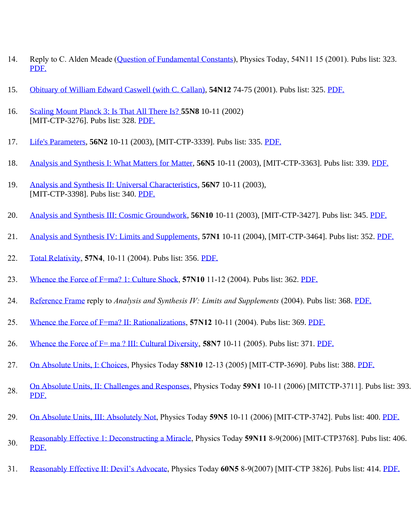- 14. Reply to C. Alden Meade (Question [of Fundamental Constants\)](http://ctpweb.lns.mit.edu/physics_today/phystoday/Alden-Repsonse323.pdf), Physics Today, 54N11 15 (2001). Pubs list: 323. [PDF.](https://drive.google.com/file/d/1hl1sWjXJjV61rhOcmokPNhADtpWDdv0Q/view?usp=sharing)
- 15. [Obituary of William Edward Caswell \(with C. Callan\),](http://ctpweb.lns.mit.edu/physics_today/phystoday/Obituary%20of%20William#204820.pdf) **54N12** 74-75 (2001). Pubs list: 325. [PDF.](https://drive.google.com/file/d/0B7pl5V0YU9tab1FhQ2xpQVZuZDA/view?usp=sharing)
- 16. [Scaling Mount Planck 3: Is That All There Is?](http://ctpweb.lns.mit.edu/physics_today/phystoday/SMPIII.pdf) **55N8** 10-11 (2002) [MIT-CTP-3276]. Pubs list: 328. PDE.
- 17. [Life's Parameters,](http://ctpweb.lns.mit.edu/physics_today/phystoday/Life%27sParameterws.pdf) **56N2** 10-11 (2003), [MIT-CTP-3339]. Pubs list: 335. [PDF.](https://drive.google.com/file/d/1_ZmIcvnrN1p07Q8IGWnUc5vCsCo_PlGN/view?usp=sharing)
- 18. [Analysis and Synthesis I: What Matters for Matter,](http://ctpweb.lns.mit.edu/physics_today/phystoday/AS%20I%20What%20Matters.pdf) **56N5** 10-11 (2003), [MIT-CTP-3363]. Pubs list: 339. [PDF.](https://drive.google.com/file/d/0B7pl5V0YU9taanpsRmo0dU9tdnM/view?usp=sharing)
- 19. [Analysis and Synthesis II: Universal Characteristics,](http://ctpweb.lns.mit.edu/physics_today/phystoday/AS%20II%20Universal%20Character.pdf) **56N7** 10-11 (2003), [MIT-CTP-3398]. Pubs list: 340. [PDF.](https://drive.google.com/open?id=0B7pl5V0YU9taeUZxYXhhcWY5Y1k)
- 20. [Analysis and Synthesis III: Cosmic Groundwork,](http://ctpweb.lns.mit.edu/physics_today/phystoday/AS%20III%20Cosmic%20Groundwork.pdf) **56N10** 10-11 (2003), [MIT-CTP-3427]. Pubs list: 345. [PDF.](https://drive.google.com/file/d/0B7pl5V0YU9taTjdnbzZvQmMxck0/view?usp=sharing)
- 21. [Analysis and Synthesis IV: Limits and Supplements,](http://ctpweb.lns.mit.edu/physics_today/phystoday/AS%20IV%20LImits.pdf) **57N1** 10-11 (2004), [MIT-CTP-3464]. Pubs list: 352. [PDF.](https://drive.google.com/file/d/0B7pl5V0YU9taT3JadENuOF82WG8/view?usp=sharing)
- 22. [Total Relativity,](http://ctpweb.lns.mit.edu/physics_today/phystoday/%28356%29Total%20Relativity.pdf) **57N4**, 10-11 (2004). Pubs list: 356. [PDF.](https://drive.google.com/file/d/0B7pl5V0YU9taWV90dzd1M1FwZ1E/view?usp=sharing)
- 23. [Whence the Force of F=ma? 1: Culture Shock,](http://ctpweb.lns.mit.edu/physics_today/phystoday/%20Whence_cshock.pdf) **57N10** 11-12 (2004). Pubs list: 362. [PDF.](https://drive.google.com/open?id=0B7pl5V0YU9tabkxDU0djSk1HalU)
- 24. [Reference Frame](http://ctpweb.lns.mit.edu/physics_today/phystoday/Analysis%5CSynthesisQ_A.pdf) reply to *Analysis and Synthesis IV: Limits and Supplements* (2004). Pubs list: 368. [PDF.](https://drive.google.com/file/d/0B7pl5V0YU9taMTFORlBzc2ZsaUE/view?usp=sharing)
- 25. [Whence the Force of F=ma? II: Rationalizations,](http://ctpweb.lns.mit.edu/physics_today/phystoday/Whence_F%20=%20ma-rat.pdf) **57N12** 10-11 (2004). Pubs list: 369. [PDF.](https://drive.google.com/file/d/0B7pl5V0YU9taNjQyRUthc0RmNzA/view?usp=sharing)
- 26. [Whence the Force of F= ma ? III: Cultural Diversity,](http://ctpweb.lns.mit.edu/physics_today/phystoday/WhenceIIICultural%20Diversity.pdf) **58N7** 10-11 (2005). Pubs list: 371. [PDF.](https://drive.google.com/file/d/0B7pl5V0YU9taaC1JNVNSckhtZjQ/view?usp=sharing)
- 27. [On Absolute Units, I: Choices,](http://ctpweb.lns.mit.edu/physics_today/phystoday/Abs_limits388.pdf) Physics Today **58N10** 12-13 (2005) [MIT-CTP-3690]. Pubs list: 388. [PDF.](https://drive.google.com/file/d/0B7pl5V0YU9taWUM5dFBwNWR6M3c/view?usp=sharing)
- 28. [On Absolute Units, II: Challenges and Responses,](http://ctpweb.lns.mit.edu/physics_today/phystoday/Abs_limits393.pdf) Physics Today 59N1 10-11 (2006) [MITCTP-3711]. Pubs list: 393. [PDF.](https://drive.google.com/file/d/0B7pl5V0YU9taQl9uVkZvSU8tY0E/view?usp=sharing)
- 29. [On Absolute Units, III: Absolutely Not,](http://ctpweb.lns.mit.edu/physics_today/phystoday/Abs_limits400.pdf) Physics Today **59N5** 10-11 (2006) [MIT-CTP-3742]. Pubs list: 400. [PDF.](https://drive.google.com/open?id=0B7pl5V0YU9taVGdCXzNLWFFQV00)
- 30. [Reasonably Effective 1: Deconstructing a Miracle,](http://ctpweb.lns.mit.edu/physics_today/phystoday/reasonably1_406.pdf) Physics Today **59N11** 8-9(2006) [MIT-CTP3768]. Pubs list: 406. [PDF.](https://drive.google.com/open?id=0B7pl5V0YU9tad0JEbGxYbkYxUXc)
- 31. Reasonably Effectiv[e II: Devil's Advocate](http://ctpweb.lns.mit.edu/physics_today/phystoday/reasonably2-414.pdf), Physics Today **60N5** 8-9(2007) [MIT-CTP 3826]. Pubs list: 414. [PDF.](https://drive.google.com/file/d/1YbeNl9oYGGJXgpzRaYiACv3jzW9wPXsA/view?usp=sharing)